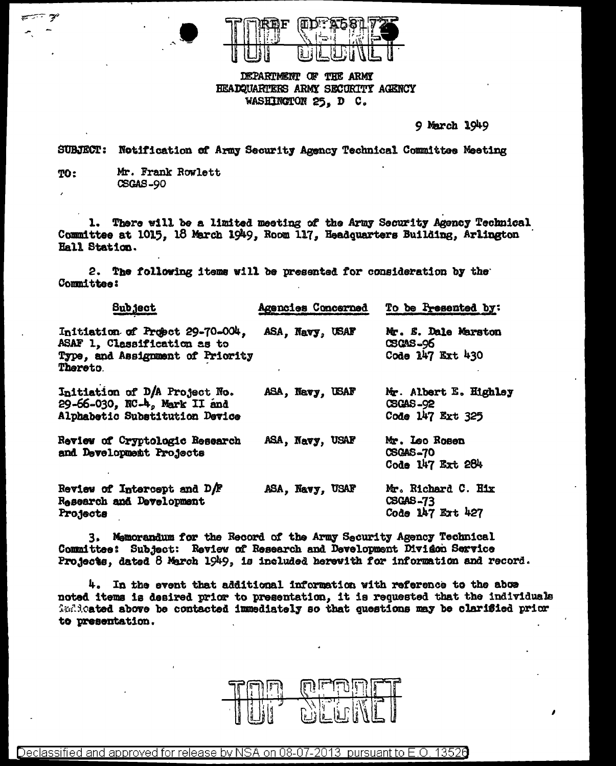

DEPARTMENT OF THE ARMY HEADQUARTERS ARMY SECURITY AGENCY WASHINGTON 25. D C.

9 March 1949

SUBJECT: Notification of Army Security Agency Technical Committee Meeting

Mr. Frank Rowlett TO: **CSGAS-90** 

1. There will be a limited meeting of the Army Security Agency Technical Committee at 1015, 18 March 1949, Room 117, Headquarters Building, Arlington Hall Station.

2. The following items will be presented for consideration by the Committee:

| <b>Subject</b>                                                                                                        | Agencies Concerned | To be Presented by:                                        |
|-----------------------------------------------------------------------------------------------------------------------|--------------------|------------------------------------------------------------|
| Initiation of Propet 29-70-004,<br>ASAF 1, Classification as to<br>Type, and Assignment of Priority<br><b>Thereto</b> | ASA, Navy, USAF    | Mr. E. Dale Marston<br><b>CSCAS-96</b><br>Code 147 Ext 430 |
| Initiation of D/A Project No.<br>29-66-030, NC-4, Mark II and<br>Alphabetic Substitution Device                       | ASA, Navy, USAF    | Mr. Albert E. Highley<br>CSGAS-92<br>Code 147 Ext 325      |
| Review of Cryptologic Research<br>and Development Projects                                                            | ASA, Navy, USAF    | Mr. Leo Rosen<br><b>CSGAS-70</b><br>Code 147 Ext 284       |
| Review of Intercept and D/F<br>Research and Development<br>Projects                                                   | ASA, Navy, USAF    | Mr. Richard C. Hix<br><b>CSGAS-73</b><br>Code 147 Ext 427  |

3. Memorandum for the Record of the Army Security Agency Technical Committee: Subject: Review of Research and Development Divison Service Projects, dated 8 March 1949, is included herewith for information and record.

4. In the event that additional information with reference to the abor noted items is desired prior to presentation, it is requested that the individuals indicated above be contacted immediately so that questions may be clarified prior to presentation.